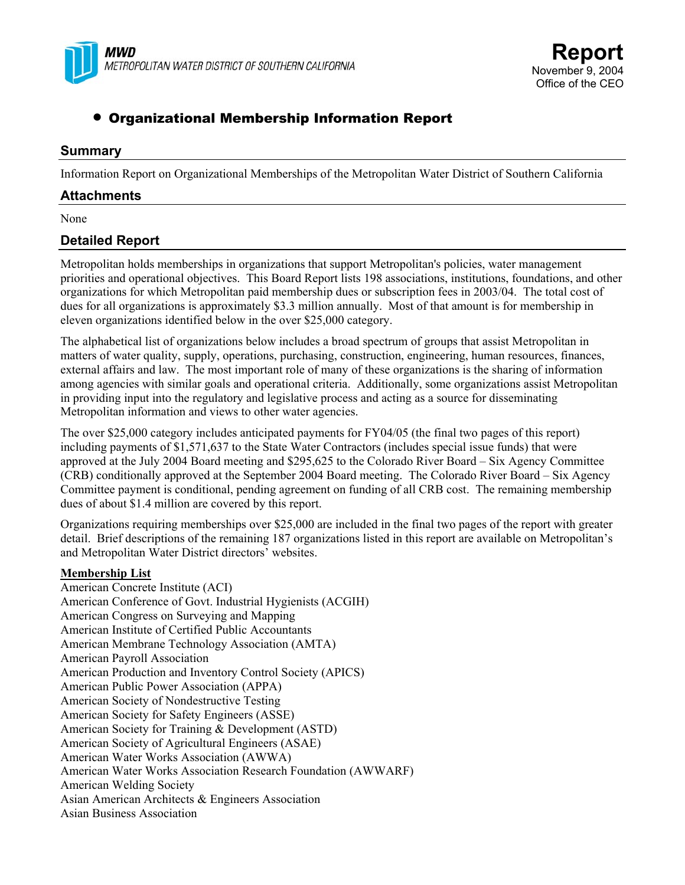

# • Organizational Membership Information Report

# **Summary**

Information Report on Organizational Memberships of the Metropolitan Water District of Southern California

### **Attachments**

None

# **Detailed Report**

Metropolitan holds memberships in organizations that support Metropolitan's policies, water management priorities and operational objectives. This Board Report lists 198 associations, institutions, foundations, and other organizations for which Metropolitan paid membership dues or subscription fees in 2003/04. The total cost of dues for all organizations is approximately \$3.3 million annually. Most of that amount is for membership in eleven organizations identified below in the over \$25,000 category.

The alphabetical list of organizations below includes a broad spectrum of groups that assist Metropolitan in matters of water quality, supply, operations, purchasing, construction, engineering, human resources, finances, external affairs and law. The most important role of many of these organizations is the sharing of information among agencies with similar goals and operational criteria. Additionally, some organizations assist Metropolitan in providing input into the regulatory and legislative process and acting as a source for disseminating Metropolitan information and views to other water agencies.

The over \$25,000 category includes anticipated payments for FY04/05 (the final two pages of this report) including payments of \$1,571,637 to the State Water Contractors (includes special issue funds) that were approved at the July 2004 Board meeting and \$295,625 to the Colorado River Board – Six Agency Committee (CRB) conditionally approved at the September 2004 Board meeting. The Colorado River Board – Six Agency Committee payment is conditional, pending agreement on funding of all CRB cost. The remaining membership dues of about \$1.4 million are covered by this report.

Organizations requiring memberships over \$25,000 are included in the final two pages of the report with greater detail. Brief descriptions of the remaining 187 organizations listed in this report are available on Metropolitan's and Metropolitan Water District directors' websites.

#### **Membership List**

American Concrete Institute (ACI) American Conference of Govt. Industrial Hygienists (ACGIH) American Congress on Surveying and Mapping American Institute of Certified Public Accountants American Membrane Technology Association (AMTA) American Payroll Association American Production and Inventory Control Society (APICS) American Public Power Association (APPA) American Society of Nondestructive Testing American Society for Safety Engineers (ASSE) American Society for Training & Development (ASTD) American Society of Agricultural Engineers (ASAE) American Water Works Association (AWWA) American Water Works Association Research Foundation (AWWARF) American Welding Society Asian American Architects & Engineers Association Asian Business Association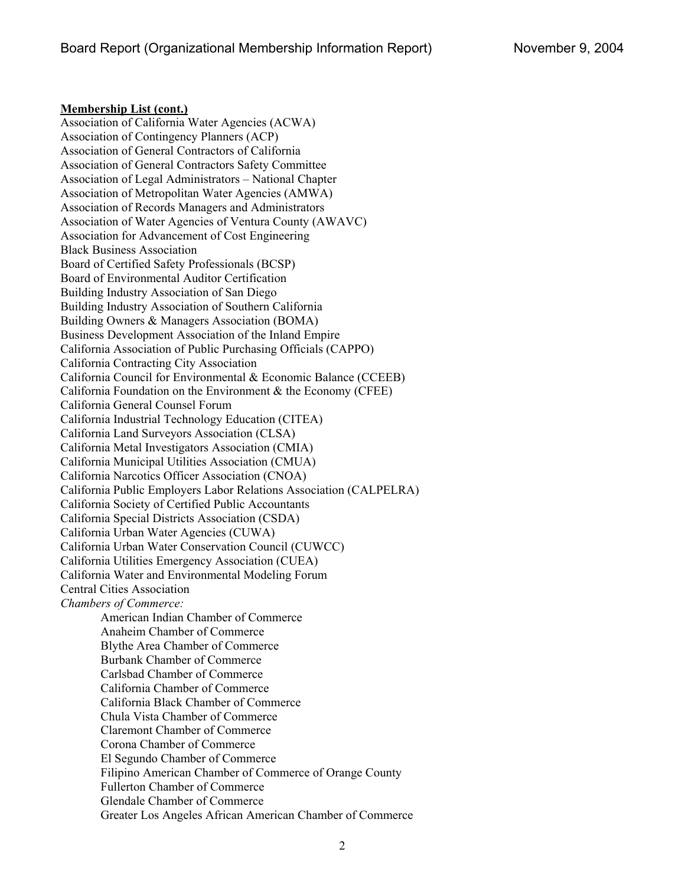#### **Membership List (cont.)**

Association of California Water Agencies (ACWA) Association of Contingency Planners (ACP) Association of General Contractors of California Association of General Contractors Safety Committee Association of Legal Administrators – National Chapter Association of Metropolitan Water Agencies (AMWA) Association of Records Managers and Administrators Association of Water Agencies of Ventura County (AWAVC) Association for Advancement of Cost Engineering Black Business Association Board of Certified Safety Professionals (BCSP) Board of Environmental Auditor Certification Building Industry Association of San Diego Building Industry Association of Southern California Building Owners & Managers Association (BOMA) Business Development Association of the Inland Empire California Association of Public Purchasing Officials (CAPPO) California Contracting City Association California Council for Environmental & Economic Balance (CCEEB) California Foundation on the Environment & the Economy (CFEE) California General Counsel Forum California Industrial Technology Education (CITEA) California Land Surveyors Association (CLSA) California Metal Investigators Association (CMIA) California Municipal Utilities Association (CMUA) California Narcotics Officer Association (CNOA) California Public Employers Labor Relations Association (CALPELRA) California Society of Certified Public Accountants California Special Districts Association (CSDA) California Urban Water Agencies (CUWA) California Urban Water Conservation Council (CUWCC) California Utilities Emergency Association (CUEA) California Water and Environmental Modeling Forum Central Cities Association *Chambers of Commerce:*  American Indian Chamber of Commerce Anaheim Chamber of Commerce Blythe Area Chamber of Commerce Burbank Chamber of Commerce Carlsbad Chamber of Commerce California Chamber of Commerce California Black Chamber of Commerce Chula Vista Chamber of Commerce Claremont Chamber of Commerce Corona Chamber of Commerce El Segundo Chamber of Commerce Filipino American Chamber of Commerce of Orange County Fullerton Chamber of Commerce Glendale Chamber of Commerce Greater Los Angeles African American Chamber of Commerce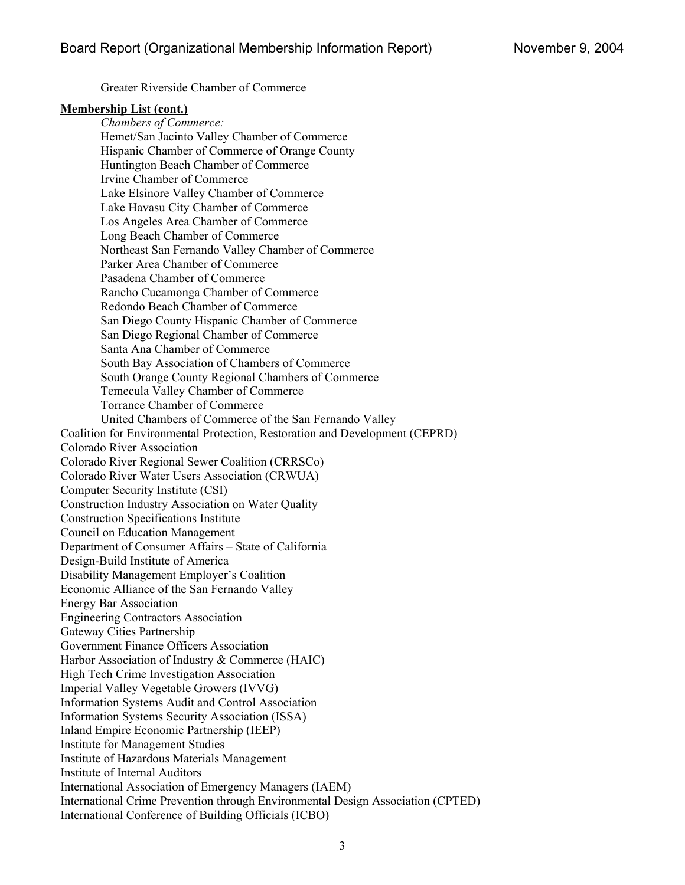Greater Riverside Chamber of Commerce

#### **Membership List (cont.)**

*Chambers of Commerce:*  Hemet/San Jacinto Valley Chamber of Commerce Hispanic Chamber of Commerce of Orange County Huntington Beach Chamber of Commerce Irvine Chamber of Commerce Lake Elsinore Valley Chamber of Commerce Lake Havasu City Chamber of Commerce Los Angeles Area Chamber of Commerce Long Beach Chamber of Commerce Northeast San Fernando Valley Chamber of Commerce Parker Area Chamber of Commerce Pasadena Chamber of Commerce Rancho Cucamonga Chamber of Commerce Redondo Beach Chamber of Commerce San Diego County Hispanic Chamber of Commerce San Diego Regional Chamber of Commerce Santa Ana Chamber of Commerce South Bay Association of Chambers of Commerce South Orange County Regional Chambers of Commerce Temecula Valley Chamber of Commerce Torrance Chamber of Commerce United Chambers of Commerce of the San Fernando Valley Coalition for Environmental Protection, Restoration and Development (CEPRD) Colorado River Association Colorado River Regional Sewer Coalition (CRRSCo) Colorado River Water Users Association (CRWUA) Computer Security Institute (CSI) Construction Industry Association on Water Quality Construction Specifications Institute Council on Education Management Department of Consumer Affairs – State of California Design-Build Institute of America Disability Management Employer's Coalition Economic Alliance of the San Fernando Valley Energy Bar Association Engineering Contractors Association Gateway Cities Partnership Government Finance Officers Association Harbor Association of Industry & Commerce (HAIC) High Tech Crime Investigation Association Imperial Valley Vegetable Growers (IVVG) Information Systems Audit and Control Association Information Systems Security Association (ISSA) Inland Empire Economic Partnership (IEEP) Institute for Management Studies Institute of Hazardous Materials Management Institute of Internal Auditors International Association of Emergency Managers (IAEM) International Crime Prevention through Environmental Design Association (CPTED) International Conference of Building Officials (ICBO)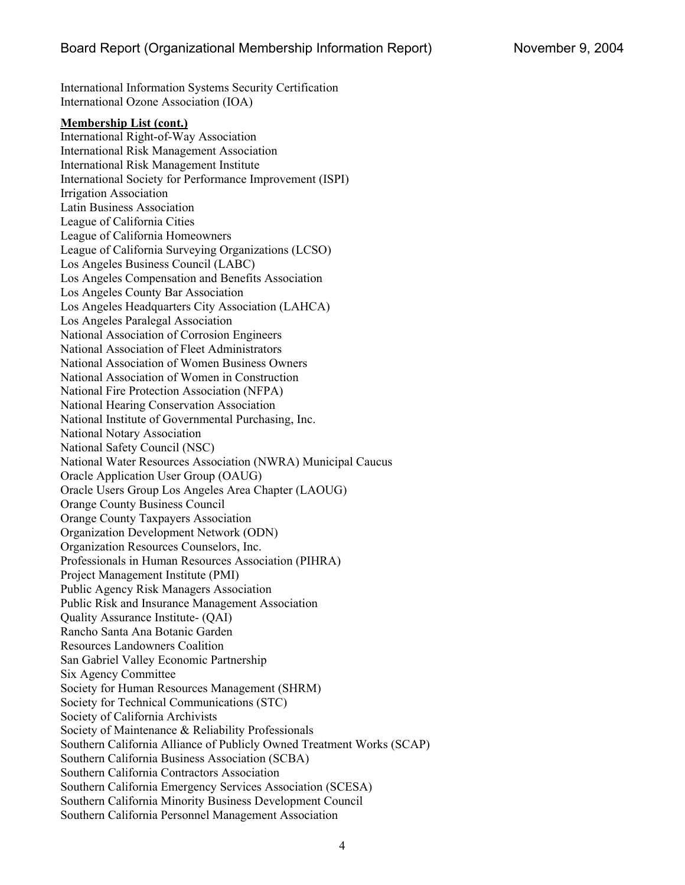International Information Systems Security Certification International Ozone Association (IOA)

#### **Membership List (cont.)**

International Right-of-Way Association International Risk Management Association International Risk Management Institute International Society for Performance Improvement (ISPI) Irrigation Association Latin Business Association League of California Cities League of California Homeowners League of California Surveying Organizations (LCSO) Los Angeles Business Council (LABC) Los Angeles Compensation and Benefits Association Los Angeles County Bar Association Los Angeles Headquarters City Association (LAHCA) Los Angeles Paralegal Association National Association of Corrosion Engineers National Association of Fleet Administrators National Association of Women Business Owners National Association of Women in Construction National Fire Protection Association (NFPA) National Hearing Conservation Association National Institute of Governmental Purchasing, Inc. National Notary Association National Safety Council (NSC) National Water Resources Association (NWRA) Municipal Caucus Oracle Application User Group (OAUG) Oracle Users Group Los Angeles Area Chapter (LAOUG) Orange County Business Council Orange County Taxpayers Association Organization Development Network (ODN) Organization Resources Counselors, Inc. Professionals in Human Resources Association (PIHRA) Project Management Institute (PMI) Public Agency Risk Managers Association Public Risk and Insurance Management Association Quality Assurance Institute- (QAI) Rancho Santa Ana Botanic Garden Resources Landowners Coalition San Gabriel Valley Economic Partnership Six Agency Committee Society for Human Resources Management (SHRM) Society for Technical Communications (STC) Society of California Archivists Society of Maintenance & Reliability Professionals Southern California Alliance of Publicly Owned Treatment Works (SCAP) Southern California Business Association (SCBA) Southern California Contractors Association Southern California Emergency Services Association (SCESA) Southern California Minority Business Development Council Southern California Personnel Management Association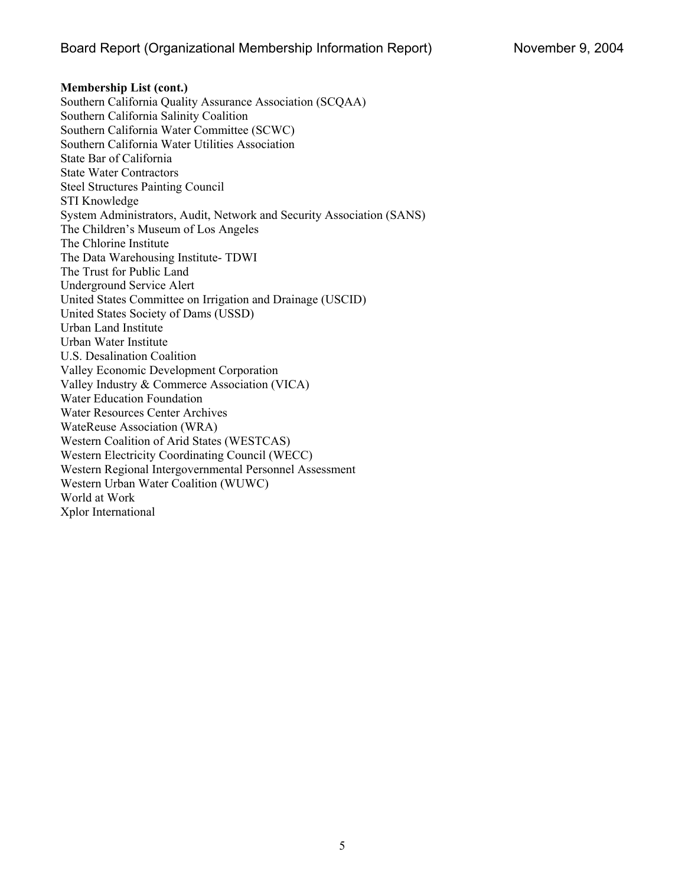**Membership List (cont.)**  Southern California Quality Assurance Association (SCQAA) Southern California Salinity Coalition Southern California Water Committee (SCWC) Southern California Water Utilities Association State Bar of California State Water Contractors Steel Structures Painting Council STI Knowledge System Administrators, Audit, Network and Security Association (SANS) The Children's Museum of Los Angeles The Chlorine Institute The Data Warehousing Institute- TDWI The Trust for Public Land Underground Service Alert United States Committee on Irrigation and Drainage (USCID) United States Society of Dams (USSD) Urban Land Institute Urban Water Institute U.S. Desalination Coalition Valley Economic Development Corporation Valley Industry & Commerce Association (VICA) Water Education Foundation Water Resources Center Archives WateReuse Association (WRA) Western Coalition of Arid States (WESTCAS) Western Electricity Coordinating Council (WECC) Western Regional Intergovernmental Personnel Assessment Western Urban Water Coalition (WUWC) World at Work Xplor International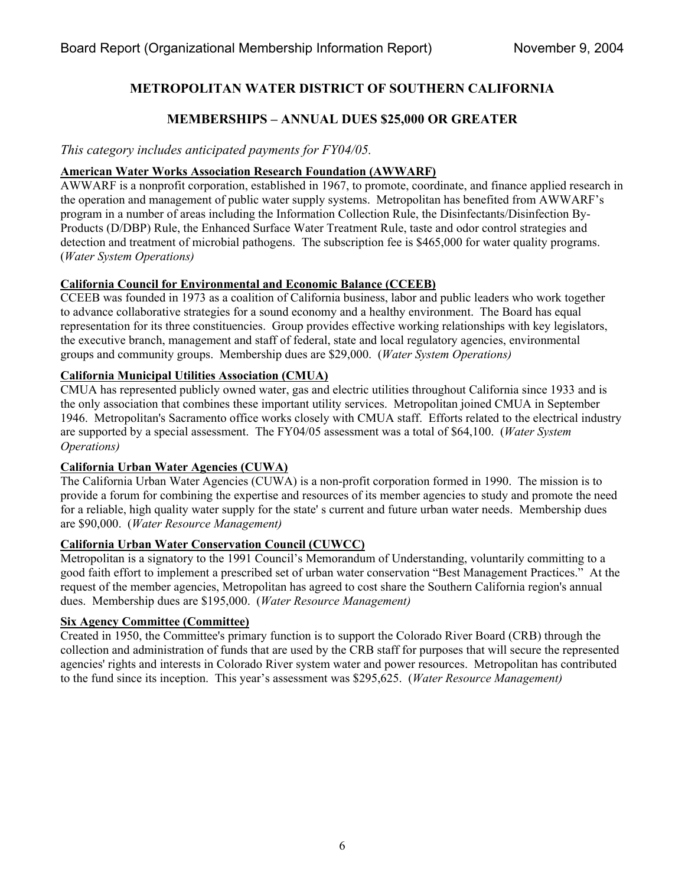# **METROPOLITAN WATER DISTRICT OF SOUTHERN CALIFORNIA**

# **MEMBERSHIPS – ANNUAL DUES \$25,000 OR GREATER**

# *This category includes anticipated payments for FY04/05.*

### **American Water Works Association Research Foundation (AWWARF)**

AWWARF is a nonprofit corporation, established in 1967, to promote, coordinate, and finance applied research in the operation and management of public water supply systems. Metropolitan has benefited from AWWARF's program in a number of areas including the Information Collection Rule, the Disinfectants/Disinfection By-Products (D/DBP) Rule, the Enhanced Surface Water Treatment Rule, taste and odor control strategies and detection and treatment of microbial pathogens. The subscription fee is \$465,000 for water quality programs. (*Water System Operations)* 

#### **California Council for Environmental and Economic Balance (CCEEB)**

CCEEB was founded in 1973 as a coalition of California business, labor and public leaders who work together to advance collaborative strategies for a sound economy and a healthy environment. The Board has equal representation for its three constituencies. Group provides effective working relationships with key legislators, the executive branch, management and staff of federal, state and local regulatory agencies, environmental groups and community groups. Membership dues are \$29,000. (*Water System Operations)*

# **California Municipal Utilities Association (CMUA)**

CMUA has represented publicly owned water, gas and electric utilities throughout California since 1933 and is the only association that combines these important utility services. Metropolitan joined CMUA in September 1946. Metropolitan's Sacramento office works closely with CMUA staff. Efforts related to the electrical industry are supported by a special assessment. The FY04/05 assessment was a total of \$64,100. (*Water System Operations)* 

#### **California Urban Water Agencies (CUWA)**

The California Urban Water Agencies (CUWA) is a non-profit corporation formed in 1990. The mission is to provide a forum for combining the expertise and resources of its member agencies to study and promote the need for a reliable, high quality water supply for the state' s current and future urban water needs. Membership dues are \$90,000. (*Water Resource Management)*

#### **California Urban Water Conservation Council (CUWCC)**

Metropolitan is a signatory to the 1991 Council's Memorandum of Understanding, voluntarily committing to a good faith effort to implement a prescribed set of urban water conservation "Best Management Practices." At the request of the member agencies, Metropolitan has agreed to cost share the Southern California region's annual dues. Membership dues are \$195,000. (*Water Resource Management)* 

#### **Six Agency Committee (Committee)**

Created in 1950, the Committee's primary function is to support the Colorado River Board (CRB) through the collection and administration of funds that are used by the CRB staff for purposes that will secure the represented agencies' rights and interests in Colorado River system water and power resources. Metropolitan has contributed to the fund since its inception. This year's assessment was \$295,625. (*Water Resource Management)*